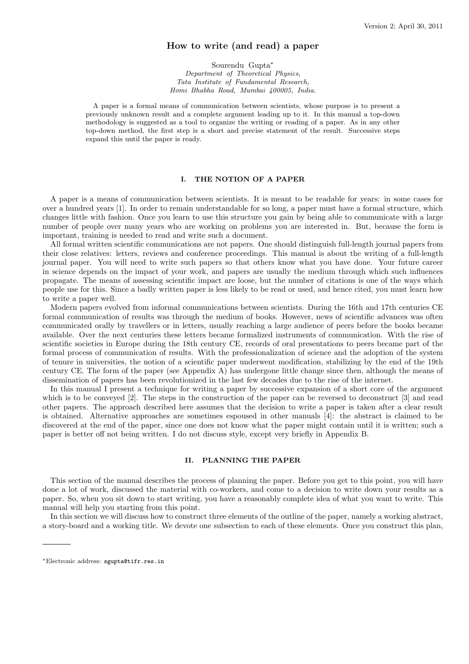# How to write (and read) a paper

Sourendu Gupta<sup>∗</sup> Department of Theoretical Physics, Tata Institute of Fundamental Research, Homi Bhabha Road, Mumbai 400005, India.

A paper is a formal means of communication between scientists, whose purpose is to present a previously unknown result and a complete argument leading up to it. In this manual a top-down methodology is suggested as a tool to organize the writing or reading of a paper. As in any other top-down method, the first step is a short and precise statement of the result. Successive steps expand this until the paper is ready.

## I. THE NOTION OF A PAPER

A paper is a means of communication between scientists. It is meant to be readable for years: in some cases for over a hundred years [1]. In order to remain understandable for so long, a paper must have a formal structure, which changes little with fashion. Once you learn to use this structure you gain by being able to communicate with a large number of people over many years who are working on problems you are interested in. But, because the form is important, training is needed to read and write such a document.

All formal written scientific communications are not papers. One should distinguish full-length journal papers from their close relatives: letters, reviews and conference proceedings. This manual is about the writing of a full-length journal paper. You will need to write such papers so that others know what you have done. Your future career in science depends on the impact of your work, and papers are usually the medium through which such influences propagate. The means of assessing scientific impact are loose, but the number of citations is one of the ways which people use for this. Since a badly written paper is less likely to be read or used, and hence cited, you must learn how to write a paper well.

Modern papers evolved from informal communications between scientists. During the 16th and 17th centuries CE formal communication of results was through the medium of books. However, news of scientific advances was often communicated orally by travellers or in letters, usually reaching a large audience of peers before the books became available. Over the next centuries these letters became formalized instruments of communication. With the rise of scientific societies in Europe during the 18th century CE, records of oral presentations to peers became part of the formal process of communication of results. With the professionalization of science and the adoption of the system of tenure in universities, the notion of a scientific paper underwent modification, stabilizing by the end of the 19th century CE. The form of the paper (see Appendix A) has undergone little change since then, although the means of dissemination of papers has been revolutionized in the last few decades due to the rise of the internet.

In this manual I present a technique for writing a paper by successive expansion of a short core of the argument which is to be conveyed [2]. The steps in the construction of the paper can be reversed to deconstruct [3] and read other papers. The approach described here assumes that the decision to write a paper is taken after a clear result is obtained. Alternative approaches are sometimes espoused in other manuals [4]: the abstract is claimed to be discovered at the end of the paper, since one does not know what the paper might contain until it is written; such a paper is better off not being written. I do not discuss style, except very briefly in Appendix B.

# II. PLANNING THE PAPER

This section of the manual describes the process of planning the paper. Before you get to this point, you will have done a lot of work, discussed the material with co-workers, and come to a decision to write down your results as a paper. So, when you sit down to start writing, you have a reasonably complete idea of what you want to write. This manual will help you starting from this point.

In this section we will discuss how to construct three elements of the outline of the paper, namely a working abstract, a story-board and a working title. We devote one subsection to each of these elements. Once you construct this plan,

<sup>∗</sup>Electronic address: sgupta@tifr.res.in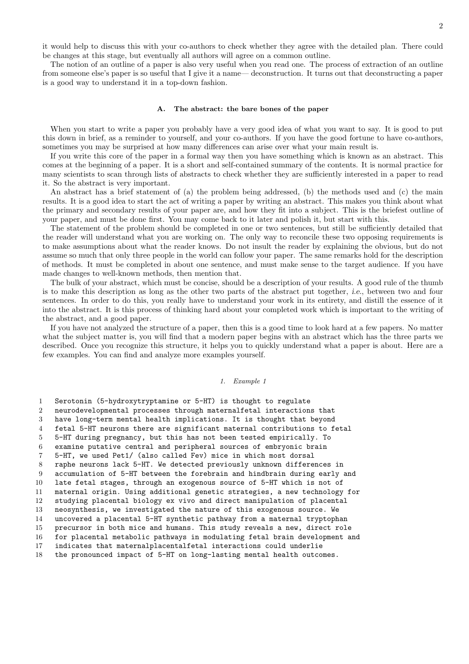it would help to discuss this with your co-authors to check whether they agree with the detailed plan. There could be changes at this stage, but eventually all authors will agree on a common outline.

The notion of an outline of a paper is also very useful when you read one. The process of extraction of an outline from someone else's paper is so useful that I give it a name— deconstruction. It turns out that deconstructing a paper is a good way to understand it in a top-down fashion.

### A. The abstract: the bare bones of the paper

When you start to write a paper you probably have a very good idea of what you want to say. It is good to put this down in brief, as a reminder to yourself, and your co-authors. If you have the good fortune to have co-authors, sometimes you may be surprised at how many differences can arise over what your main result is.

If you write this core of the paper in a formal way then you have something which is known as an abstract. This comes at the beginning of a paper. It is a short and self-contained summary of the contents. It is normal practice for many scientists to scan through lists of abstracts to check whether they are sufficiently interested in a paper to read it. So the abstract is very important.

An abstract has a brief statement of (a) the problem being addressed, (b) the methods used and (c) the main results. It is a good idea to start the act of writing a paper by writing an abstract. This makes you think about what the primary and secondary results of your paper are, and how they fit into a subject. This is the briefest outline of your paper, and must be done first. You may come back to it later and polish it, but start with this.

The statement of the problem should be completed in one or two sentences, but still be sufficiently detailed that the reader will understand what you are working on. The only way to reconcile these two opposing requirements is to make assumptions about what the reader knows. Do not insult the reader by explaining the obvious, but do not assume so much that only three people in the world can follow your paper. The same remarks hold for the description of methods. It must be completed in about one sentence, and must make sense to the target audience. If you have made changes to well-known methods, then mention that.

The bulk of your abstract, which must be concise, should be a description of your results. A good rule of the thumb is to make this description as long as the other two parts of the abstract put together, i.e., between two and four sentences. In order to do this, you really have to understand your work in its entirety, and distill the essence of it into the abstract. It is this process of thinking hard about your completed work which is important to the writing of the abstract, and a good paper.

If you have not analyzed the structure of a paper, then this is a good time to look hard at a few papers. No matter what the subject matter is, you will find that a modern paper begins with an abstract which has the three parts we described. Once you recognize this structure, it helps you to quickly understand what a paper is about. Here are a few examples. You can find and analyze more examples yourself.

#### 1. Example 1

 Serotonin (5-hydroxytryptamine or 5-HT) is thought to regulate neurodevelopmental processes through maternalfetal interactions that have long-term mental health implications. It is thought that beyond fetal 5-HT neurons there are significant maternal contributions to fetal 5-HT during pregnancy, but this has not been tested empirically. To examine putative central and peripheral sources of embryonic brain 5-HT, we used Pet1/ (also called Fev) mice in which most dorsal raphe neurons lack 5-HT. We detected previously unknown differences in accumulation of 5-HT between the forebrain and hindbrain during early and late fetal stages, through an exogenous source of 5-HT which is not of maternal origin. Using additional genetic strategies, a new technology for studying placental biology ex vivo and direct manipulation of placental neosynthesis, we investigated the nature of this exogenous source. We uncovered a placental 5-HT synthetic pathway from a maternal tryptophan precursor in both mice and humans. This study reveals a new, direct role for placental metabolic pathways in modulating fetal brain development and indicates that maternalplacentalfetal interactions could underlie the pronounced impact of 5-HT on long-lasting mental health outcomes.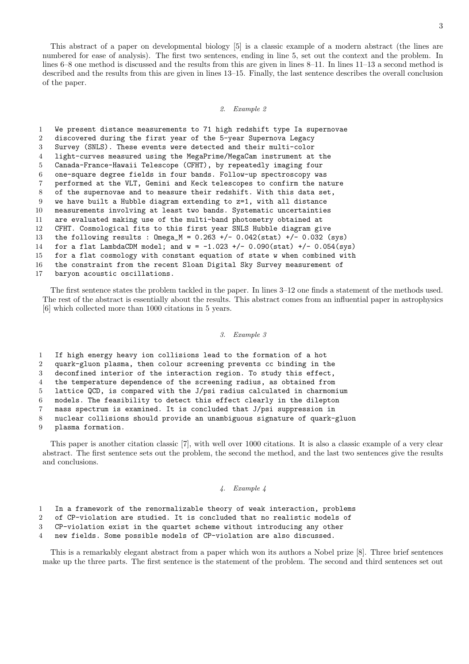This abstract of a paper on developmental biology [5] is a classic example of a modern abstract (the lines are numbered for ease of analysis). The first two sentences, ending in line 5, set out the context and the problem. In lines 6–8 one method is discussed and the results from this are given in lines 8–11. In lines 11–13 a second method is described and the results from this are given in lines 13–15. Finally, the last sentence describes the overall conclusion of the paper.

#### 2. Example 2

 We present distance measurements to 71 high redshift type Ia supernovae discovered during the first year of the 5-year Supernova Legacy Survey (SNLS). These events were detected and their multi-color light-curves measured using the MegaPrime/MegaCam instrument at the Canada-France-Hawaii Telescope (CFHT), by repeatedly imaging four one-square degree fields in four bands. Follow-up spectroscopy was performed at the VLT, Gemini and Keck telescopes to confirm the nature of the supernovae and to measure their redshift. With this data set, we have built a Hubble diagram extending to z=1, with all distance measurements involving at least two bands. Systematic uncertainties are evaluated making use of the multi-band photometry obtained at CFHT. Cosmological fits to this first year SNLS Hubble diagram give the following results : Omega\_M = 0.263 +/- 0.042(stat) +/- 0.032 (sys) 14 for a flat LambdaCDM model; and  $w = -1.023 + (-0.090(stat) + (-0.054(sys))$  for a flat cosmology with constant equation of state w when combined with the constraint from the recent Sloan Digital Sky Survey measurement of baryon acoustic oscillations.

The first sentence states the problem tackled in the paper. In lines 3–12 one finds a statement of the methods used. The rest of the abstract is essentially about the results. This abstract comes from an influential paper in astrophysics [6] which collected more than 1000 citations in 5 years.

### 3. Example 3

 If high energy heavy ion collisions lead to the formation of a hot quark-gluon plasma, then colour screening prevents cc binding in the deconfined interior of the interaction region. To study this effect, the temperature dependence of the screening radius, as obtained from lattice QCD, is compared with the J/psi radius calculated in charmomium models. The feasibility to detect this effect clearly in the dilepton mass spectrum is examined. It is concluded that J/psi suppression in nuclear collisions should provide an unambiguous signature of quark-gluon plasma formation.

This paper is another citation classic [7], with well over 1000 citations. It is also a classic example of a very clear abstract. The first sentence sets out the problem, the second the method, and the last two sentences give the results and conclusions.

# 4. Example 4

- In a framework of the renormalizable theory of weak interaction, problems
- of CP-violation are studied. It is concluded that no realistic models of
- CP-violation exist in the quartet scheme without introducing any other
- new fields. Some possible models of CP-violation are also discussed.

This is a remarkably elegant abstract from a paper which won its authors a Nobel prize [8]. Three brief sentences make up the three parts. The first sentence is the statement of the problem. The second and third sentences set out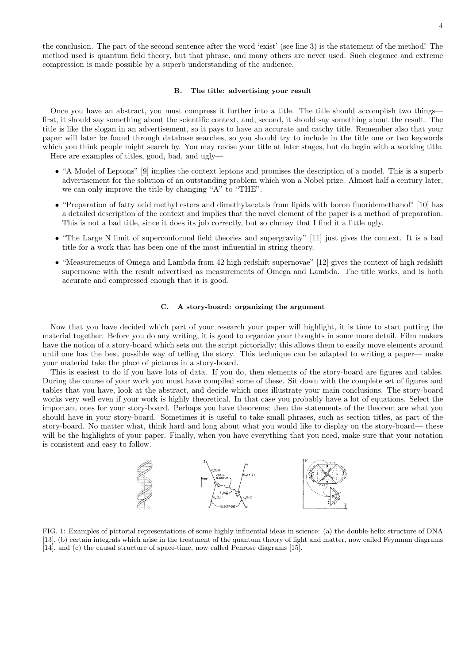the conclusion. The part of the second sentence after the word 'exist' (see line 3) is the statement of the method! The method used is quantum field theory, but that phrase, and many others are never used. Such elegance and extreme compression is made possible by a superb understanding of the audience.

## B. The title: advertising your result

Once you have an abstract, you must compress it further into a title. The title should accomplish two things first, it should say something about the scientific context, and, second, it should say something about the result. The title is like the slogan in an advertisement, so it pays to have an accurate and catchy title. Remember also that your paper will later be found through database searches, so you should try to include in the title one or two keywords which you think people might search by. You may revise your title at later stages, but do begin with a working title. Here are examples of titles, good, bad, and ugly—

- "A Model of Leptons" [9] implies the context leptons and promises the description of a model. This is a superb advertisement for the solution of an outstanding problem which won a Nobel prize. Almost half a century later, we can only improve the title by changing "A" to "THE".
- "Preparation of fatty acid methyl esters and dimethylacetals from lipids with boron fluoridemethanol" [10] has a detailed description of the context and implies that the novel element of the paper is a method of preparation. This is not a bad title, since it does its job correctly, but so clumsy that I find it a little ugly.
- "The Large N limit of superconformal field theories and supergravity" [11] just gives the context. It is a bad title for a work that has been one of the most influential in string theory.
- "Measurements of Omega and Lambda from 42 high redshift supernovae" [12] gives the context of high redshift supernovae with the result advertised as measurements of Omega and Lambda. The title works, and is both accurate and compressed enough that it is good.

# C. A story-board: organizing the argument

Now that you have decided which part of your research your paper will highlight, it is time to start putting the material together. Before you do any writing, it is good to organize your thoughts in some more detail. Film makers have the notion of a story-board which sets out the script pictorially; this allows them to easily move elements around until one has the best possible way of telling the story. This technique can be adapted to writing a paper— make your material take the place of pictures in a story-board.

This is easiest to do if you have lots of data. If you do, then elements of the story-board are figures and tables. During the course of your work you must have compiled some of these. Sit down with the complete set of figures and tables that you have, look at the abstract, and decide which ones illustrate your main conclusions. The story-board works very well even if your work is highly theoretical. In that case you probably have a lot of equations. Select the important ones for your story-board. Perhaps you have theorems; then the statements of the theorem are what you should have in your story-board. Sometimes it is useful to take small phrases, such as section titles, as part of the story-board. No matter what, think hard and long about what you would like to display on the story-board— these will be the highlights of your paper. Finally, when you have everything that you need, make sure that your notation is consistent and easy to follow.



FIG. 1: Examples of pictorial representations of some highly influential ideas in science: (a) the double-helix structure of DNA [13], (b) certain integrals which arise in the treatment of the quantum theory of light and matter, now called Feynman diagrams [14], and (c) the causal structure of space-time, now called Penrose diagrams [15].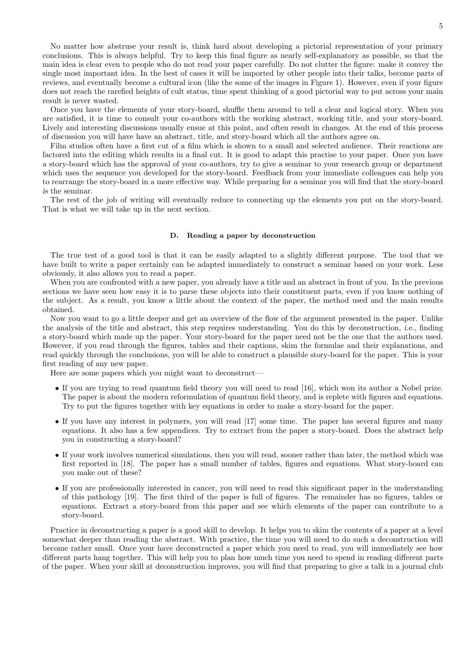No matter how abstruse your result is, think hard about developing a pictorial representation of your primary conclusions. This is always helpful. Try to keep this final figure as nearly self-explanatory as possible, so that the main idea is clear even to people who do not read your paper carefully. Do not clutter the figure: make it convey the single most important idea. In the best of cases it will be imported by other people into their talks, become parts of reviews, and eventually become a cultural icon (like the some of the images in Figure 1). However, even if your figure does not reach the rarefied heights of cult status, time spent thinking of a good pictorial way to put across your main result is never wasted.

Once you have the elements of your story-board, shuffle them around to tell a clear and logical story. When you are satisfied, it is time to consult your co-authors with the working abstract, working title, and your story-board. Lively and interesting discussions usually ensue at this point, and often result in changes. At the end of this process of discussion you will have have an abstract, title, and story-board which all the authors agree on.

Film studios often have a first cut of a film which is shown to a small and selected audience. Their reactions are factored into the editing which results in a final cut. It is good to adapt this practise to your paper. Once you have a story-board which has the approval of your co-authors, try to give a seminar to your research group or department which uses the sequence you developed for the story-board. Feedback from your immediate colleagues can help you to rearrange the story-board in a more effective way. While preparing for a seminar you will find that the story-board is the seminar.

The rest of the job of writing will eventually reduce to connecting up the elements you put on the story-board. That is what we will take up in the next section.

#### D. Reading a paper by deconstruction

The true test of a good tool is that it can be easily adapted to a slightly different purpose. The tool that we have built to write a paper certainly can be adapted immediately to construct a seminar based on your work. Less obviously, it also allows you to read a paper.

When you are confronted with a new paper, you already have a title and an abstract in front of you. In the previous sections we have seen how easy it is to parse these objects into their constituent parts, even if you know nothing of the subject. As a result, you know a little about the context of the paper, the method used and the main results obtained.

Now you want to go a little deeper and get an overview of the flow of the argument presented in the paper. Unlike the analysis of the title and abstract, this step requires understanding. You do this by deconstruction, i.e., finding a story-board which made up the paper. Your story-board for the paper need not be the one that the authors used. However, if you read through the figures, tables and their captions, skim the formulae and their explanations, and read quickly through the conclusions, you will be able to construct a plausible story-board for the paper. This is your first reading of any new paper.

Here are some papers which you might want to deconstruct—

- If you are trying to read quantum field theory you will need to read [16], which won its author a Nobel prize. The paper is about the modern reformulation of quantum field theory, and is replete with figures and equations. Try to put the figures together with key equations in order to make a story-board for the paper.
- If you have any interest in polymers, you will read [17] some time. The paper has several figures and many equations. It also has a few appendices. Try to extract from the paper a story-board. Does the abstract help you in constructing a story-board?
- If your work involves numerical simulations, then you will read, sooner rather than later, the method which was first reported in [18]. The paper has a small number of tables, figures and equations. What story-board can you make out of these?
- If you are professionally interested in cancer, you will need to read this significant paper in the understanding of this pathology [19]. The first third of the paper is full of figures. The remainder has no figures, tables or equations. Extract a story-board from this paper and see which elements of the paper can contribute to a story-board.

Practice in deconstructing a paper is a good skill to develop. It helps you to skim the contents of a paper at a level somewhat deeper than reading the abstract. With practice, the time you will need to do such a deconstruction will become rather small. Once your have deconstructed a paper which you need to read, you will immediately see how different parts hang together. This will help you to plan how much time you need to spend in reading different parts of the paper. When your skill at deconstruction improves, you will find that preparing to give a talk in a journal club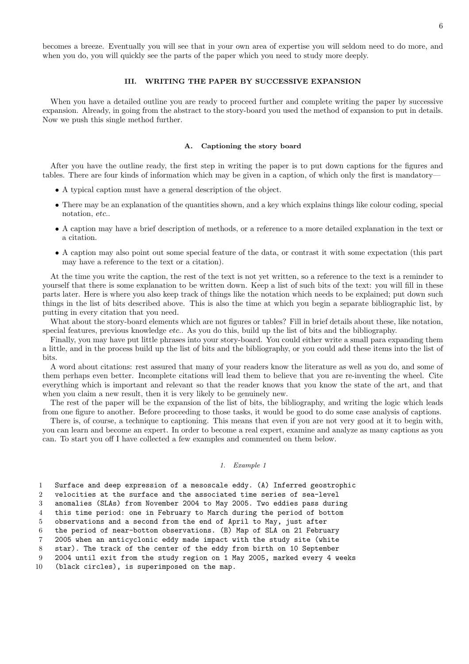becomes a breeze. Eventually you will see that in your own area of expertise you will seldom need to do more, and when you do, you will quickly see the parts of the paper which you need to study more deeply.

## III. WRITING THE PAPER BY SUCCESSIVE EXPANSION

When you have a detailed outline you are ready to proceed further and complete writing the paper by successive expansion. Already, in going from the abstract to the story-board you used the method of expansion to put in details. Now we push this single method further.

## A. Captioning the story board

After you have the outline ready, the first step in writing the paper is to put down captions for the figures and tables. There are four kinds of information which may be given in a caption, of which only the first is mandatory—

- A typical caption must have a general description of the object.
- There may be an explanation of the quantities shown, and a key which explains things like colour coding, special notation, etc..
- A caption may have a brief description of methods, or a reference to a more detailed explanation in the text or a citation.
- A caption may also point out some special feature of the data, or contrast it with some expectation (this part may have a reference to the text or a citation).

At the time you write the caption, the rest of the text is not yet written, so a reference to the text is a reminder to yourself that there is some explanation to be written down. Keep a list of such bits of the text: you will fill in these parts later. Here is where you also keep track of things like the notation which needs to be explained; put down such things in the list of bits described above. This is also the time at which you begin a separate bibliographic list, by putting in every citation that you need.

What about the story-board elements which are not figures or tables? Fill in brief details about these, like notation, special features, previous knowledge etc.. As you do this, build up the list of bits and the bibliography.

Finally, you may have put little phrases into your story-board. You could either write a small para expanding them a little, and in the process build up the list of bits and the bibliography, or you could add these items into the list of bits.

A word about citations: rest assured that many of your readers know the literature as well as you do, and some of them perhaps even better. Incomplete citations will lead them to believe that you are re-inventing the wheel. Cite everything which is important and relevant so that the reader knows that you know the state of the art, and that when you claim a new result, then it is very likely to be genuinely new.

The rest of the paper will be the expansion of the list of bits, the bibliography, and writing the logic which leads from one figure to another. Before proceeding to those tasks, it would be good to do some case analysis of captions.

There is, of course, a technique to captioning. This means that even if you are not very good at it to begin with, you can learn and become an expert. In order to become a real expert, examine and analyze as many captions as you can. To start you off I have collected a few examples and commented on them below.

## 1. Example 1

1 Surface and deep expression of a mesoscale eddy. (A) Inferred geostrophic

2 velocities at the surface and the associated time series of sea-level 3 anomalies (SLAs) from November 2004 to May 2005. Two eddies pass during

4 this time period: one in February to March during the period of bottom

5 observations and a second from the end of April to May, just after

6 the period of near-bottom observations. (B) Map of SLA on 21 February

7 2005 when an anticyclonic eddy made impact with the study site (white

8 star). The track of the center of the eddy from birth on 10 September

9 2004 until exit from the study region on 1 May 2005, marked every 4 weeks

10 (black circles), is superimposed on the map.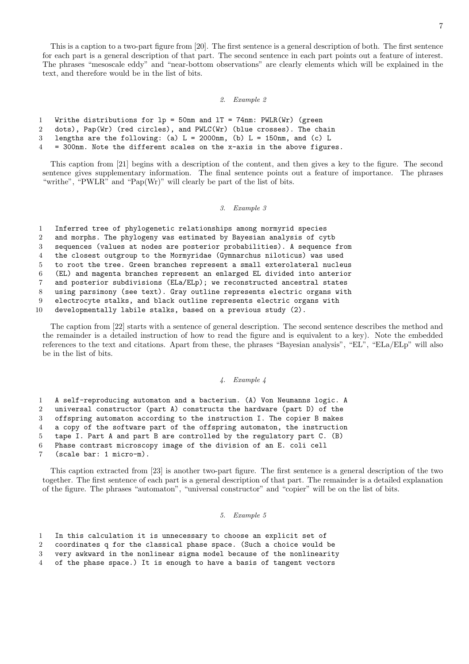This is a caption to a two-part figure from [20]. The first sentence is a general description of both. The first sentence for each part is a general description of that part. The second sentence in each part points out a feature of interest. The phrases "mesoscale eddy" and "near-bottom observations" are clearly elements which will be explained in the text, and therefore would be in the list of bits.

### 2. Example 2

```
1 Writhe distributions for lp = 50nm and lT = 74nm: PWLR(Wr) (green
```
2 dots), Pap(Wr) (red circles), and PWLC(Wr) (blue crosses). The chain

```
3 lengths are the following: (a) L = 2000nm, (b) L = 150nm, and (c) L
```
4 = 300nm. Note the different scales on the x-axis in the above figures.

This caption from [21] begins with a description of the content, and then gives a key to the figure. The second sentence gives supplementary information. The final sentence points out a feature of importance. The phrases "writhe", "PWLR" and "Pap(Wr)" will clearly be part of the list of bits.

#### 3. Example 3

1 Inferred tree of phylogenetic relationships among mormyrid species

2 and morphs. The phylogeny was estimated by Bayesian analysis of cytb

3 sequences (values at nodes are posterior probabilities). A sequence from

4 the closest outgroup to the Mormyridae (Gymnarchus niloticus) was used

5 to root the tree. Green branches represent a small exterolateral nucleus

6 (EL) and magenta branches represent an enlarged EL divided into anterior

7 and posterior subdivisions (ELa/ELp); we reconstructed ancestral states

8 using parsimony (see text). Gray outline represents electric organs with

9 electrocyte stalks, and black outline represents electric organs with

10 developmentally labile stalks, based on a previous study (2).

The caption from [22] starts with a sentence of general description. The second sentence describes the method and the remainder is a detailed instruction of how to read the figure and is equivalent to a key). Note the embedded references to the text and citations. Apart from these, the phrases "Bayesian analysis", "EL", "ELa/ELp" will also be in the list of bits.

# 4. Example 4

1 A self-reproducing automaton and a bacterium. (A) Von Neumanns logic. A

2 universal constructor (part A) constructs the hardware (part D) of the

3 offspring automaton according to the instruction I. The copier B makes

4 a copy of the software part of the offspring automaton, the instruction 5 tape I. Part A and part B are controlled by the regulatory part C. (B)

6 Phase contrast microscopy image of the division of an E. coli cell

7 (scale bar: 1 micro-m).

This caption extracted from [23] is another two-part figure. The first sentence is a general description of the two together. The first sentence of each part is a general description of that part. The remainder is a detailed explanation of the figure. The phrases "automaton", "universal constructor" and "copier" will be on the list of bits.

### 5. Example 5

|  |  |  |  |  |  | In this calculation it is unnecessary to choose an explicit set of |  |  |  |  |  |  |  |
|--|--|--|--|--|--|--------------------------------------------------------------------|--|--|--|--|--|--|--|
|--|--|--|--|--|--|--------------------------------------------------------------------|--|--|--|--|--|--|--|

2 coordinates q for the classical phase space. (Such a choice would be

3 very awkward in the nonlinear sigma model because of the nonlinearity

4 of the phase space.) It is enough to have a basis of tangent vectors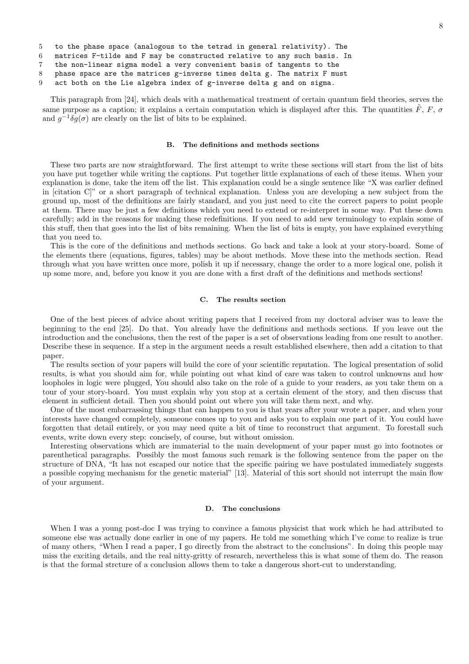```
5 to the phase space (analogous to the tetrad in general relativity). The
```
6 matrices F-tilde and F may be constructed relative to any such basis. In

7 the non-linear sigma model a very convenient basis of tangents to the

8 phase space are the matrices g-inverse times delta g. The matrix F must

9 act both on the Lie algebra index of g-inverse delta g and on sigma.

This paragraph from [24], which deals with a mathematical treatment of certain quantum field theories, serves the same purpose as a caption; it explains a certain computation which is displayed after this. The quantities  $\tilde{F}$ ,  $F$ ,  $\sigma$ and  $g^{-1}\delta g(\sigma)$  are clearly on the list of bits to be explained.

### B. The definitions and methods sections

These two parts are now straightforward. The first attempt to write these sections will start from the list of bits you have put together while writing the captions. Put together little explanations of each of these items. When your explanation is done, take the item off the list. This explanation could be a single sentence like "X was earlier defined in [citation C]" or a short paragraph of technical explanation. Unless you are developing a new subject from the ground up, most of the definitions are fairly standard, and you just need to cite the correct papers to point people at them. There may be just a few definitions which you need to extend or re-interpret in some way. Put these down carefully; add in the reasons for making these redefinitions. If you need to add new terminology to explain some of this stuff, then that goes into the list of bits remaining. When the list of bits is empty, you have explained everything that you need to.

This is the core of the definitions and methods sections. Go back and take a look at your story-board. Some of the elements there (equations, figures, tables) may be about methods. Move these into the methods section. Read through what you have written once more, polish it up if necessary, change the order to a more logical one, polish it up some more, and, before you know it you are done with a first draft of the definitions and methods sections!

### C. The results section

One of the best pieces of advice about writing papers that I received from my doctoral adviser was to leave the beginning to the end [25]. Do that. You already have the definitions and methods sections. If you leave out the introduction and the conclusions, then the rest of the paper is a set of observations leading from one result to another. Describe these in sequence. If a step in the argument needs a result established elsewhere, then add a citation to that paper.

The results section of your papers will build the core of your scientific reputation. The logical presentation of solid results, is what you should aim for, while pointing out what kind of care was taken to control unknowns and how loopholes in logic were plugged, You should also take on the role of a guide to your readers, as you take them on a tour of your story-board. You must explain why you stop at a certain element of the story, and then discuss that element in sufficient detail. Then you should point out where you will take them next, and why.

One of the most embarrassing things that can happen to you is that years after your wrote a paper, and when your interests have changed completely, someone comes up to you and asks you to explain one part of it. You could have forgotten that detail entirely, or you may need quite a bit of time to reconstruct that argument. To forestall such events, write down every step: concisely, of course, but without omission.

Interesting observations which are immaterial to the main development of your paper must go into footnotes or parenthetical paragraphs. Possibly the most famous such remark is the following sentence from the paper on the structure of DNA, "It has not escaped our notice that the specific pairing we have postulated immediately suggests a possible copying mechanism for the genetic material" [13]. Material of this sort should not interrupt the main flow of your argument.

#### D. The conclusions

When I was a young post-doc I was trying to convince a famous physicist that work which he had attributed to someone else was actually done earlier in one of my papers. He told me something which I've come to realize is true of many others, "When I read a paper, I go directly from the abstract to the conclusions". In doing this people may miss the exciting details, and the real nitty-gritty of research, nevertheless this is what some of them do. The reason is that the formal strcture of a conclusion allows them to take a dangerous short-cut to understanding.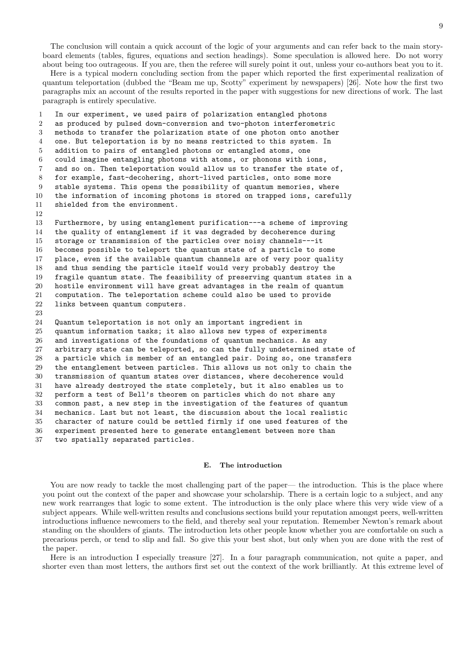The conclusion will contain a quick account of the logic of your arguments and can refer back to the main storyboard elements (tables, figures, equations and section headings). Some speculation is allowed here. Do not worry about being too outrageous. If you are, then the referee will surely point it out, unless your co-authors beat you to it.

Here is a typical modern concluding section from the paper which reported the first experimental realization of quantum teleportation (dubbed the "Beam me up, Scotty" experiment by newspapers) [26]. Note how the first two paragraphs mix an account of the results reported in the paper with suggestions for new directions of work. The last paragraph is entirely speculative.

 In our experiment, we used pairs of polarization entangled photons as produced by pulsed down-conversion and two-photon interferometric methods to transfer the polarization state of one photon onto another one. But teleportation is by no means restricted to this system. In addition to pairs of entangled photons or entangled atoms, one could imagine entangling photons with atoms, or phonons with ions, and so on. Then teleportation would allow us to transfer the state of, for example, fast-decohering, short-lived particles, onto some more stable systems. This opens the possibility of quantum memories, where the information of incoming photons is stored on trapped ions, carefully shielded from the environment. 

 Furthermore, by using entanglement purification---a scheme of improving the quality of entanglement if it was degraded by decoherence during storage or transmission of the particles over noisy channels---it becomes possible to teleport the quantum state of a particle to some place, even if the available quantum channels are of very poor quality and thus sending the particle itself would very probably destroy the fragile quantum state. The feasibility of preserving quantum states in a hostile environment will have great advantages in the realm of quantum computation. The teleportation scheme could also be used to provide links between quantum computers.

 Quantum teleportation is not only an important ingredient in quantum information tasks; it also allows new types of experiments and investigations of the foundations of quantum mechanics. As any arbitrary state can be teleported, so can the fully undetermined state of a particle which is member of an entangled pair. Doing so, one transfers the entanglement between particles. This allows us not only to chain the transmission of quantum states over distances, where decoherence would have already destroyed the state completely, but it also enables us to perform a test of Bell's theorem on particles which do not share any common past, a new step in the investigation of the features of quantum mechanics. Last but not least, the discussion about the local realistic character of nature could be settled firmly if one used features of the experiment presented here to generate entanglement between more than two spatially separated particles.

#### E. The introduction

You are now ready to tackle the most challenging part of the paper— the introduction. This is the place where you point out the context of the paper and showcase your scholarship. There is a certain logic to a subject, and any new work rearranges that logic to some extent. The introduction is the only place where this very wide view of a subject appears. While well-written results and conclusions sections build your reputation amongst peers, well-written introductions influence newcomers to the field, and thereby seal your reputation. Remember Newton's remark about standing on the shoulders of giants. The introduction lets other people know whether you are comfortable on such a precarious perch, or tend to slip and fall. So give this your best shot, but only when you are done with the rest of the paper.

Here is an introduction I especially treasure [27]. In a four paragraph communication, not quite a paper, and shorter even than most letters, the authors first set out the context of the work brilliantly. At this extreme level of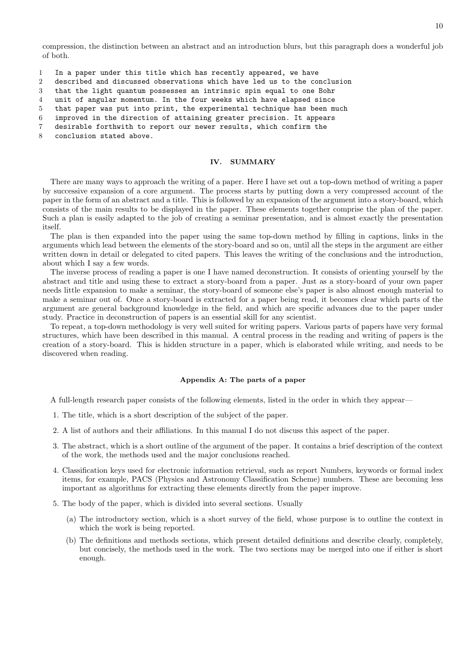compression, the distinction between an abstract and an introduction blurs, but this paragraph does a wonderful job of both.

- 1 In a paper under this title which has recently appeared, we have
- 2 described and discussed observations which have led us to the conclusion
- 3 that the light quantum possesses an intrinsic spin equal to one Bohr
- 4 unit of angular momentum. In the four weeks which have elapsed since
- 5 that paper was put into print, the experimental technique has been much

6 improved in the direction of attaining greater precision. It appears

- 7 desirable forthwith to report our newer results, which confirm the
- 8 conclusion stated above.

## IV. SUMMARY

There are many ways to approach the writing of a paper. Here I have set out a top-down method of writing a paper by successive expansion of a core argument. The process starts by putting down a very compressed account of the paper in the form of an abstract and a title. This is followed by an expansion of the argument into a story-board, which consists of the main results to be displayed in the paper. These elements together comprise the plan of the paper. Such a plan is easily adapted to the job of creating a seminar presentation, and is almost exactly the presentation itself.

The plan is then expanded into the paper using the same top-down method by filling in captions, links in the arguments which lead between the elements of the story-board and so on, until all the steps in the argument are either written down in detail or delegated to cited papers. This leaves the writing of the conclusions and the introduction, about which I say a few words.

The inverse process of reading a paper is one I have named deconstruction. It consists of orienting yourself by the abstract and title and using these to extract a story-board from a paper. Just as a story-board of your own paper needs little expansion to make a seminar, the story-board of someone else's paper is also almost enough material to make a seminar out of. Once a story-board is extracted for a paper being read, it becomes clear which parts of the argument are general background knowledge in the field, and which are specific advances due to the paper under study. Practice in deconstruction of papers is an essential skill for any scientist.

To repeat, a top-down methodology is very well suited for writing papers. Various parts of papers have very formal structures, which have been described in this manual. A central process in the reading and writing of papers is the creation of a story-board. This is hidden structure in a paper, which is elaborated while writing, and needs to be discovered when reading.

#### Appendix A: The parts of a paper

A full-length research paper consists of the following elements, listed in the order in which they appear—

- 1. The title, which is a short description of the subject of the paper.
- 2. A list of authors and their affiliations. In this manual I do not discuss this aspect of the paper.
- 3. The abstract, which is a short outline of the argument of the paper. It contains a brief description of the context of the work, the methods used and the major conclusions reached.
- 4. Classification keys used for electronic information retrieval, such as report Numbers, keywords or formal index items, for example, PACS (Physics and Astronomy Classification Scheme) numbers. These are becoming less important as algorithms for extracting these elements directly from the paper improve.
- 5. The body of the paper, which is divided into several sections. Usually
	- (a) The introductory section, which is a short survey of the field, whose purpose is to outline the context in which the work is being reported.
	- (b) The definitions and methods sections, which present detailed definitions and describe clearly, completely, but concisely, the methods used in the work. The two sections may be merged into one if either is short enough.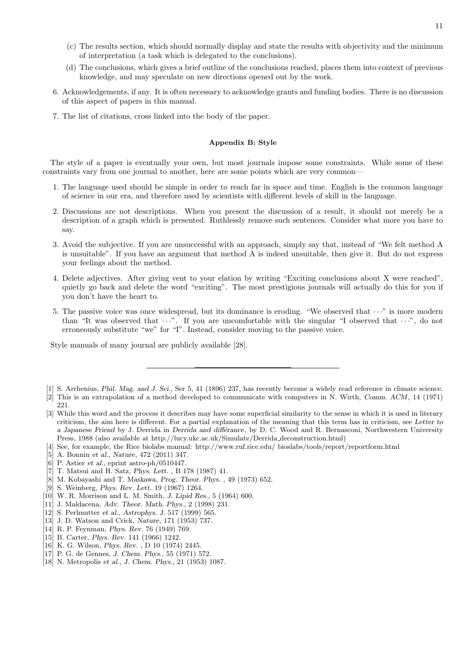- (c) The results section, which should normally display and state the results with objectivity and the minimum of interpretation (a task which is delegated to the conclusions).
- (d) The conclusions, which gives a brief outline of the conclusions reached, places them into context of previous knowledge, and may speculate on new directions opened out by the work.
- 6. Acknowledgements, if any. It is often necessary to acknowledge grants and funding bodies. There is no discussion of this aspect of papers in this manual.
- 7. The list of citations, cross linked into the body of the paper.

# Appendix B: Style

The style of a paper is eventually your own, but most journals impose some constraints. While some of these constraints vary from one journal to another, here are some points which are very common—

- 1. The language used should be simple in order to reach far in space and time. English is the common language of science in our era, and therefore used by scientists with different levels of skill in the language.
- 2. Discussions are not descriptions. When you present the discussion of a result, it should not merely be a description of a graph which is presented. Ruthlessly remove such sentences. Consider what more you have to say.
- 3. Avoid the subjective. If you are unsuccessful with an approach, simply say that, instead of "We felt method A is unsuitable". If you have an argument that method A is indeed unsuitable, then give it. But do not express your feelings about the method.
- 4. Delete adjectives. After giving vent to your elation by writing "Exciting conclusions about X were reached", quietly go back and delete the word "exciting". The most prestigious journals will actually do this for you if you don't have the heart to.
- 5. The passive voice was once widespread, but its dominance is eroding. "We observed that  $\cdots$ " is more modern than "It was observed that  $\cdots$ ". If you are uncomfortable with the singular "I observed that  $\cdots$ ", do not erroneously substitute "we" for "I". Instead, consider moving to the passive voice.

Style manuals of many journal are publicly available [28].

- [2] This is an extrapolation of a method developed to communicate with computers in N. Wirth, Comm. ACM, 14 (1971)
- 221.
- [3] While this word and the process it describes may have some superficial similarity to the sense in which it is used in literary criticism, the aim here is different. For a partial explanation of the meaning that this term has in criticism, see Letter to a Japanese Friend by J. Derrida in Derrida and differance, by D. C. Wood and R. Bernasconi, Northwestern University Press, 1988 (also available at http://lucy.ukc.ac.uk/Simulate/Derrida deconstruction.html)
- [4] See, for example, the Rice biolabs manual: http://www.ruf.rice.edu/ bioslabs/tools/report/reportform.html
- [5] A. Bonnin et al., Nature, 472 (2011) 347.
- [6] P. Astier et al., eprint astro-ph/0510447.
- [7] T. Matsui and H. Satz, Phys. Lett. , B 178 (1987) 41.
- [8] M. Kobayashi and T. Maskawa, Prog. Theor. Phys. , 49 (1973) 652.
- [9] S. Weinberg, Phys. Rev. Lett. 19 (1967) 1264.
- [10] W. R. Morrison and L. M. Smith, J. Lipid Res., 5 (1964) 600.
- [11] J. Maldacena, Adv. Theor. Math. Phys., 2 (1998) 231.
- [12] S. Perlmutter et al., Astrophys. J. 517 (1999) 565.
- [13] J. D. Watson and Crick, Nature, 171 (1953) 737.
- [14] R. P. Feynman, Phys. Rev. 76 (1949) 769.
- [15] B. Carter, Phys. Rev. 141 (1966) 1242.
- [16] K. G. Wilson, Phys. Rev. , D 10 (1974) 2445.
- [17] P. G. de Gennes, J. Chem. Phys., 55 (1971) 572.
- [18] N. Metropolis et al., J. Chem. Phys., 21 (1953) 1087.

<sup>[1]</sup> S. Arrhenius, Phil. Mag. and J. Sci., Ser 5, 41 (1896) 237, has recently become a widely read reference in climate science.